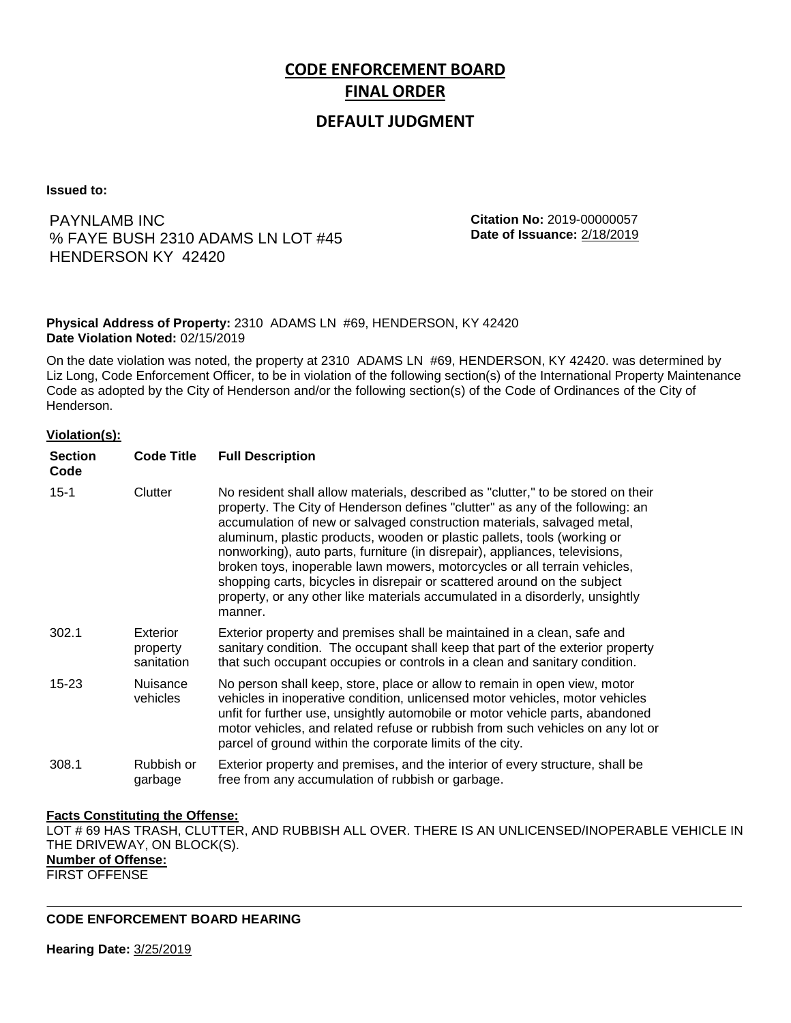# **CODE ENFORCEMENT BOARD FINAL ORDER**

## **DEFAULT JUDGMENT**

**Issued to:**

PAYNLAMB INC % FAYE BUSH 2310 ADAMS LN LOT #45 HENDERSON KY 42420

**Citation No:** 2019-00000057 **Date of Issuance:** 2/18/2019

### **Physical Address of Property:** 2310 ADAMS LN #69, HENDERSON, KY 42420 **Date Violation Noted:** 02/15/2019

On the date violation was noted, the property at 2310 ADAMS LN #69, HENDERSON, KY 42420. was determined by Liz Long, Code Enforcement Officer, to be in violation of the following section(s) of the International Property Maintenance Code as adopted by the City of Henderson and/or the following section(s) of the Code of Ordinances of the City of Henderson.

### **Violation(s):**

| <b>Section</b><br>Code | <b>Code Title</b>                  | <b>Full Description</b>                                                                                                                                                                                                                                                                                                                                                                                                                                                                                                                                                                                                                                     |
|------------------------|------------------------------------|-------------------------------------------------------------------------------------------------------------------------------------------------------------------------------------------------------------------------------------------------------------------------------------------------------------------------------------------------------------------------------------------------------------------------------------------------------------------------------------------------------------------------------------------------------------------------------------------------------------------------------------------------------------|
| $15 - 1$               | Clutter                            | No resident shall allow materials, described as "clutter," to be stored on their<br>property. The City of Henderson defines "clutter" as any of the following: an<br>accumulation of new or salvaged construction materials, salvaged metal,<br>aluminum, plastic products, wooden or plastic pallets, tools (working or<br>nonworking), auto parts, furniture (in disrepair), appliances, televisions,<br>broken toys, inoperable lawn mowers, motorcycles or all terrain vehicles,<br>shopping carts, bicycles in disrepair or scattered around on the subject<br>property, or any other like materials accumulated in a disorderly, unsightly<br>manner. |
| 302.1                  | Exterior<br>property<br>sanitation | Exterior property and premises shall be maintained in a clean, safe and<br>sanitary condition. The occupant shall keep that part of the exterior property<br>that such occupant occupies or controls in a clean and sanitary condition.                                                                                                                                                                                                                                                                                                                                                                                                                     |
| $15 - 23$              | <b>Nuisance</b><br>vehicles        | No person shall keep, store, place or allow to remain in open view, motor<br>vehicles in inoperative condition, unlicensed motor vehicles, motor vehicles<br>unfit for further use, unsightly automobile or motor vehicle parts, abandoned<br>motor vehicles, and related refuse or rubbish from such vehicles on any lot or<br>parcel of ground within the corporate limits of the city.                                                                                                                                                                                                                                                                   |
| 308.1                  | Rubbish or<br>garbage              | Exterior property and premises, and the interior of every structure, shall be<br>free from any accumulation of rubbish or garbage.                                                                                                                                                                                                                                                                                                                                                                                                                                                                                                                          |

### **Facts Constituting the Offense:**

LOT # 69 HAS TRASH, CLUTTER, AND RUBBISH ALL OVER. THERE IS AN UNLICENSED/INOPERABLE VEHICLE IN THE DRIVEWAY, ON BLOCK(S). **Number of Offense:** FIRST OFFENSE

**CODE ENFORCEMENT BOARD HEARING**

**Hearing Date:** 3/25/2019